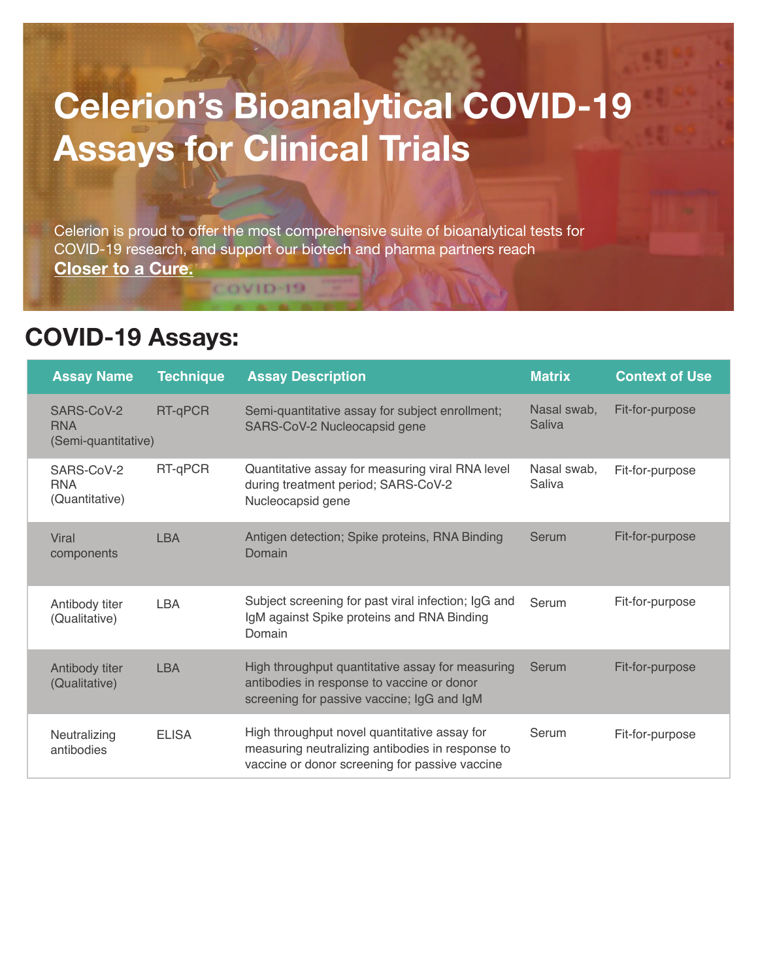## **Celerion's Bioanalytical COVID-19 Assays for Clinical Trials**

Celerion is proud to offer the most comprehensive suite of bioanalytical tests for COVID-19 research, and support our biotech and pharma partners reach **Closer to a Cure.**

**COVID-19** 

## **COVID-19 Assays:**

| <b>Assay Name</b>                               | <b>Technique</b> | <b>Assay Description</b>                                                                                                                           | <b>Matrix</b>         | <b>Context of Use</b> |
|-------------------------------------------------|------------------|----------------------------------------------------------------------------------------------------------------------------------------------------|-----------------------|-----------------------|
| SARS-CoV-2<br><b>RNA</b><br>(Semi-quantitative) | RT-qPCR          | Semi-quantitative assay for subject enrollment;<br>SARS-CoV-2 Nucleocapsid gene                                                                    | Nasal swab,<br>Saliva | Fit-for-purpose       |
| SARS-CoV-2<br><b>RNA</b><br>(Quantitative)      | RT-qPCR          | Quantitative assay for measuring viral RNA level<br>during treatment period; SARS-CoV-2<br>Nucleocapsid gene                                       | Nasal swab,<br>Saliva | Fit-for-purpose       |
| Viral<br>components                             | <b>LBA</b>       | Antigen detection; Spike proteins, RNA Binding<br>Domain                                                                                           | Serum                 | Fit-for-purpose       |
| Antibody titer<br>(Qualitative)                 | <b>LBA</b>       | Subject screening for past viral infection; IgG and<br>IgM against Spike proteins and RNA Binding<br>Domain                                        | Serum                 | Fit-for-purpose       |
| Antibody titer<br>(Qualitative)                 | <b>LBA</b>       | High throughput quantitative assay for measuring<br>antibodies in response to vaccine or donor<br>screening for passive vaccine; IgG and IgM       | Serum                 | Fit-for-purpose       |
| Neutralizing<br>antibodies                      | <b>ELISA</b>     | High throughput novel quantitative assay for<br>measuring neutralizing antibodies in response to<br>vaccine or donor screening for passive vaccine | Serum                 | Fit-for-purpose       |